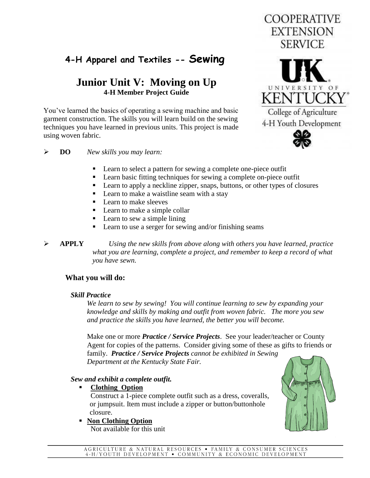# **4-H Apparel and Textiles -- Sewing**

## **Junior Unit V: Moving on Up 4-H Member Project Guide**

You've learned the basics of operating a sewing machine and basic garment construction. The skills you will learn build on the sewing techniques you have learned in previous units. This project is made using woven fabric.



**COOPERATIVE EXTENSION** 

#### **DO** *New skills you may learn:*

- Learn to select a pattern for sewing a complete one-piece outfit
- Learn basic fitting techniques for sewing a complete on-piece outfit
- **Learn to apply a neckline zipper, snaps, buttons, or other types of closures**
- Learn to make a waistline seam with a stay
- Learn to make sleeves
- Learn to make a simple collar
- Learn to sew a simple lining
- Learn to use a serger for sewing and/or finishing seams
- **APPLY** *Using the new skills from above along with others you have learned, practice what you are learning, complete a project, and remember to keep a record of what you have sewn.*

#### **What you will do:**

#### *Skill Practice*

*We learn to sew by sewing! You will continue learning to sew by expanding your knowledge and skills by making and outfit from woven fabric. The more you sew and practice the skills you have learned, the better you will become.* 

Make one or more *Practice / Service Projects*. See your leader/teacher or County Agent for copies of the patterns. Consider giving some of these as gifts to friends or family. *Practice / Service Projects cannot be exhibited in Sewing Department at the Kentucky State Fair.*

#### *Sew and exhibit a complete outfit.*

 **Clothing Option**

 Construct a 1-piece complete outfit such as a dress, coveralls, or jumpsuit. Item must include a zipper or button/buttonhole closure.

#### **Non Clothing Option**

Not available for this unit